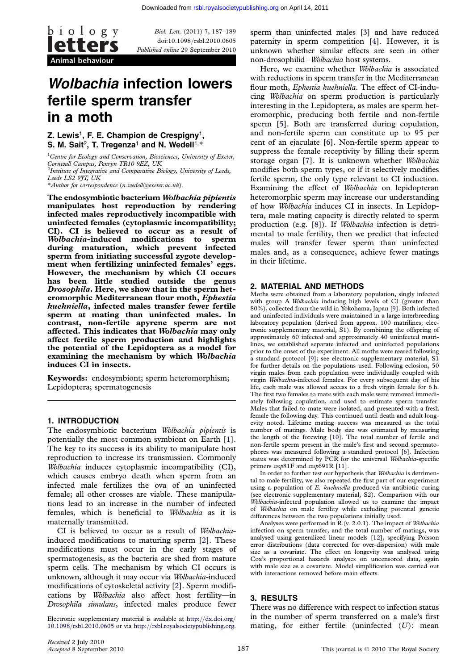

Biol. Lett. (2011) 7, 187–189 doi:10.1098/rsbl.2010.0605 Published online 29 September 2010

# Wolbachia infection lowers fertile sperm transfer in a moth

Z. Lewis<sup>1</sup>, F. E. Champion de Crespigny<sup>1</sup>, S. M. Sait<sup>2</sup>. T. Tregenza<sup>1</sup> and N. Wedell<sup>1,\*</sup>

<sup>1</sup>Centre for Ecology and Conservation, Biosciences, University of Exeter, Cornwall Campus, Penryn TR10 9EZ, UK <sup>2</sup> Institute of Integrative and Comparative Biology, University of Leeds, Leeds LS2 9JT, UK \*Author for correspondence ([n.wedell@exeter.ac.uk](mailto:n.wedell@exeter.ac.uk)).

The endosymbiotic bacterium Wolbachia pipientis manipulates host reproduction by rendering infected males reproductively incompatible with uninfected females (cytoplasmic incompatibility; CI). CI is believed to occur as a result of Wolbachia-induced modifications to sperm during maturation, which prevent infected sperm from initiating successful zygote development when fertilizing uninfected females' eggs. However, the mechanism by which CI occurs has been little studied outside the genus Drosophila. Here, we show that in the sperm heteromorphic Mediterranean flour moth, Ephestia kuehniella, infected males transfer fewer fertile sperm at mating than uninfected males. In contrast, non-fertile apyrene sperm are not affected. This indicates that Wolbachia may only affect fertile sperm production and highlights the potential of the Lepidoptera as a model for examining the mechanism by which Wolbachia induces CI in insects.

Keywords: endosymbiont; sperm heteromorphism; Lepidoptera; spermatogenesis

## 1. INTRODUCTION

The endosymbiotic bacterium Wolbachia pipientis is potentially the most common symbiont on Earth [\[1\]](#page-2-0). The key to its success is its ability to manipulate host reproduction to increase its transmission. Commonly Wolbachia induces cytoplasmic incompatibility (CI), which causes embryo death when sperm from an infected male fertilizes the ova of an uninfected female; all other crosses are viable. These manipulations lead to an increase in the number of infected females, which is beneficial to Wolbachia as it is maternally transmitted.

CI is believed to occur as a result of Wolbachiainduced modifications to maturing sperm [[2](#page-2-0)]. These modifications must occur in the early stages of spermatogenesis, as the bacteria are shed from mature sperm cells. The mechanism by which CI occurs is unknown, although it may occur via Wolbachia-induced modifications of cytoskeletal activity [\[2\]](#page-2-0). Sperm modifications by Wolbachia also affect host fertility—in Drosophila simulans, infected males produce fewer

Electronic supplementary material is available at [http:](http://dx.doi.org/10.1098/rsbl.2010.0605)//[dx.doi.org](http://dx.doi.org/10.1098/rsbl.2010.0605)/ 10.1098/[rsbl.2010.0605](http://dx.doi.org/10.1098/rsbl.2010.0605) or via [http:](http://rsbl.royalsocietypublishing.org)//[rsbl.royalsocietypublishing.org](http://rsbl.royalsocietypublishing.org). sperm than uninfected males [\[3](#page-2-0)] and have reduced paternity in sperm competition [\[4\]](#page-2-0). However, it is unknown whether similar effects are seen in other non-drosophilid–Wolbachia host systems.

Here, we examine whether Wolbachia is associated with reductions in sperm transfer in the Mediterranean flour moth, Ephestia kuehniella. The effect of CI-inducing Wolbachia on sperm production is particularly interesting in the Lepidoptera, as males are sperm heteromorphic, producing both fertile and non-fertile sperm [[5](#page-2-0)]. Both are transferred during copulation, and non-fertile sperm can constitute up to 95 per cent of an ejaculate [[6](#page-2-0)]. Non-fertile sperm appear to suppress the female receptivity by filling their sperm storage organ [[7](#page-2-0)]. It is unknown whether Wolbachia modifies both sperm types, or if it selectively modifies fertile sperm, the only type relevant to CI induction. Examining the effect of Wolbachia on lepidopteran heteromorphic sperm may increase our understanding of how Wolbachia induces CI in insects. In Lepidoptera, male mating capacity is directly related to sperm production (e.g. [[8](#page-2-0)]). If Wolbachia infection is detrimental to male fertility, then we predict that infected males will transfer fewer sperm than uninfected males and, as a consequence, achieve fewer matings in their lifetime.

### 2. MATERIAL AND METHODS

Moths were obtained from a laboratory population, singly infected with group A *Wolbachia* inducing high levels of CI (greater than 80%), collected from the wild in Yokohama, Japan [\[9](#page-2-0)]. Both infected and uninfected individuals were maintained in a large interbreeding laboratory population (derived from approx. 100 matrilines; electronic supplementary material, S1). By combining the offspring of approximately 60 infected and approximately 40 uninfected matrilines, we established separate infected and uninfected populations prior to the onset of the experiment. All moths were reared following a standard protocol [\[9\]](#page-2-0); see electronic supplementary material, S1 for further details on the populations used. Following eclosion, 50 virgin males from each population were individually coupled with virgin Wolbachia-infected females. For every subsequent day of his life, each male was allowed access to a fresh virgin female for 6 h. The first two females to mate with each male were removed immediately following copulation, and used to estimate sperm transfer. Males that failed to mate were isolated, and presented with a fresh female the following day. This continued until death and adult longevity noted. Lifetime mating success was measured as the total number of matings. Male body size was estimated by measuring the length of the forewing [\[10\]](#page-2-0). The total number of fertile and non-fertile sperm present in the male's first and second spermatophores was measured following a standard protocol [[6](#page-2-0)]. Infection status was determined by PCR for the universal Wolbachia-specific primers  $wsp81F$  and  $wsp691R$  [\[11](#page-2-0)].

In order to further test our hypothesis that Wolbachia is detrimental to male fertility, we also repeated the first part of our experiment using a population of E. kuehniella produced via antibiotic curing (see electronic supplementary material, S2). Comparison with our Wolbachia-infected population allowed us to examine the impact of Wolbachia on male fertility while excluding potential genetic differences between the two populations initially used.

Analyses were performed in R (v. 2.0.1). The impact of Wolbachia infection on sperm transfer, and the total number of matings, was analysed using generalized linear models [[12\]](#page-2-0), specifying Poisson error distributions (data corrected for over-dispersion) with male size as a covariate. The effect on longevity was analysed using Cox's proportional hazards analyses on uncensored data, again with male size as a covariate. Model simplification was carried out with interactions removed before main effects.

## 3. RESULTS

There was no difference with respect to infection status in the number of sperm transferred on a male's first mating, for either fertile (uninfected  $(U)$ : mean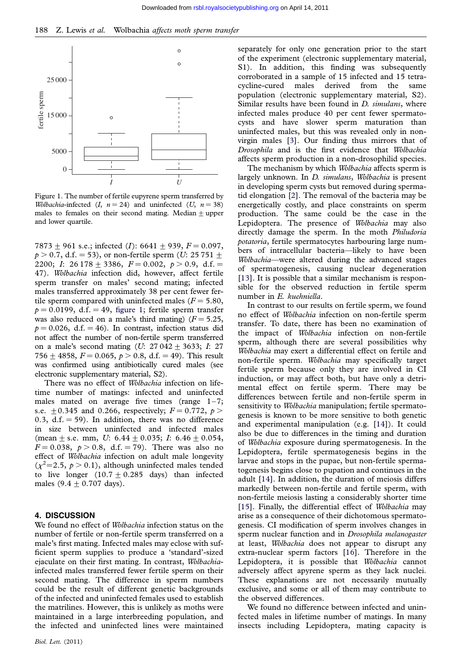

Figure 1. The number of fertile eupyrene sperm transferred by Wolbachia-infected  $(I, n = 24)$  and uninfected  $(U, n = 38)$ males to females on their second mating. Median  $\pm$  upper and lower quartile.

7873 + 961 s.e.; infected (I): 6641 + 939,  $F = 0.097$ ,  $p > 0.7$ , d.f. = 53), or non-fertile sperm (U: 25 751  $\pm$ 2200; I: 26 178  $\pm$  3386, F = 0.002, p > 0.9, d.f. = 47). Wolbachia infection did, however, affect fertile sperm transfer on males' second mating; infected males transferred approximately 38 per cent fewer fertile sperm compared with uninfected males ( $F = 5.80$ ,  $p = 0.0199$ , d.f. = 49, figure 1; fertile sperm transfer was also reduced on a male's third mating)  $(F = 5.25,$  $p = 0.026$ , d.f.  $= 46$ ). In contrast, infection status did not affect the number of non-fertile sperm transferred on a male's second mating (U:  $27042 \pm 3633$ ; I: 27 756  $\pm$  4858,  $F = 0.065$ ,  $p > 0.8$ , d.f. = 49). This result was confirmed using antibiotically cured males (see electronic supplementary material, S2).

There was no effect of *Wolbachia* infection on lifetime number of matings: infected and uninfected males mated on average five times (range  $1-7$ ; s.e.  $\pm$  0.345 and 0.266, respectively;  $F = 0.772$ ,  $p >$ 0.3, d.f.  $=$  59). In addition, there was no difference in size between uninfected and infected males (mean  $\pm$  s.e. mm, U: 6.44  $\pm$  0.035; I: 6.46  $\pm$  0.054,  $F = 0.038$ ,  $p > 0.8$ , d.f. = 79). There was also no effect of Wolbachia infection on adult male longevity  $(\chi^2=2.5, p>0.1)$ , although uninfected males tended to live longer  $(10.7 \pm 0.285$  days) than infected males  $(9.4 + 0.707 \text{ days})$ .

#### 4. DISCUSSION

We found no effect of *Wolbachia* infection status on the number of fertile or non-fertile sperm transferred on a male's first mating. Infected males may eclose with sufficient sperm supplies to produce a 'standard'-sized ejaculate on their first mating. In contrast, Wolbachiainfected males transferred fewer fertile sperm on their second mating. The difference in sperm numbers could be the result of different genetic backgrounds of the infected and uninfected females used to establish the matrilines. However, this is unlikely as moths were maintained in a large interbreeding population, and the infected and uninfected lines were maintained separately for only one generation prior to the start of the experiment (electronic supplementary material, S1). In addition, this finding was subsequently corroborated in a sample of 15 infected and 15 tetracycline-cured males derived from the same population (electronic supplementary material, S2). Similar results have been found in *D. simulans*, where infected males produce 40 per cent fewer spermatocysts and have slower sperm maturation than uninfected males, but this was revealed only in nonvirgin males [[3](#page-2-0)]. Our finding thus mirrors that of Drosophila and is the first evidence that Wolbachia affects sperm production in a non-drosophilid species.

The mechanism by which Wolbachia affects sperm is largely unknown. In D. simulans, Wolbachia is present in developing sperm cysts but removed during spermatid elongation [[2](#page-2-0)]. The removal of the bacteria may be energetically costly, and place constraints on sperm production. The same could be the case in the Lepidoptera. The presence of *Wolbachia* may also directly damage the sperm. In the moth Philudoria potatoria, fertile spermatocytes harbouring large numbers of intracellular bacteria—likely to have been Wolbachia—were altered during the advanced stages of spermatogenesis, causing nuclear degeneration [[13\]](#page-2-0). It is possible that a similar mechanism is responsible for the observed reduction in fertile sperm number in E. kuehniella.

In contrast to our results on fertile sperm, we found no effect of Wolbachia infection on non-fertile sperm transfer. To date, there has been no examination of the impact of Wolbachia infection on non-fertile sperm, although there are several possibilities why Wolbachia may exert a differential effect on fertile and non-fertile sperm. Wolbachia may specifically target fertile sperm because only they are involved in CI induction, or may affect both, but have only a detrimental effect on fertile sperm. There may be differences between fertile and non-fertile sperm in sensitivity to *Wolbachia* manipulation; fertile spermatogenesis is known to be more sensitive to both genetic and experimental manipulation (e.g. [[14\]](#page-2-0)). It could also be due to differences in the timing and duration of Wolbachia exposure during spermatogenesis. In the Lepidoptera, fertile spermatogenesis begins in the larvae and stops in the pupae, but non-fertile spermatogenesis begins close to pupation and continues in the adult [\[14](#page-2-0)]. In addition, the duration of meiosis differs markedly between non-fertile and fertile sperm, with non-fertile meiosis lasting a considerably shorter time [[15\]](#page-2-0). Finally, the differential effect of Wolbachia may arise as a consequence of their dichotomous spermatogenesis. CI modification of sperm involves changes in sperm nuclear function and in Drosophila melanogaster at least, Wolbachia does not appear to disrupt any extra-nuclear sperm factors [\[16](#page-2-0)]. Therefore in the Lepidoptera, it is possible that Wolbachia cannot adversely affect apyrene sperm as they lack nuclei. These explanations are not necessarily mutually exclusive, and some or all of them may contribute to the observed differences.

We found no difference between infected and uninfected males in lifetime number of matings. In many insects including Lepidoptera, mating capacity is